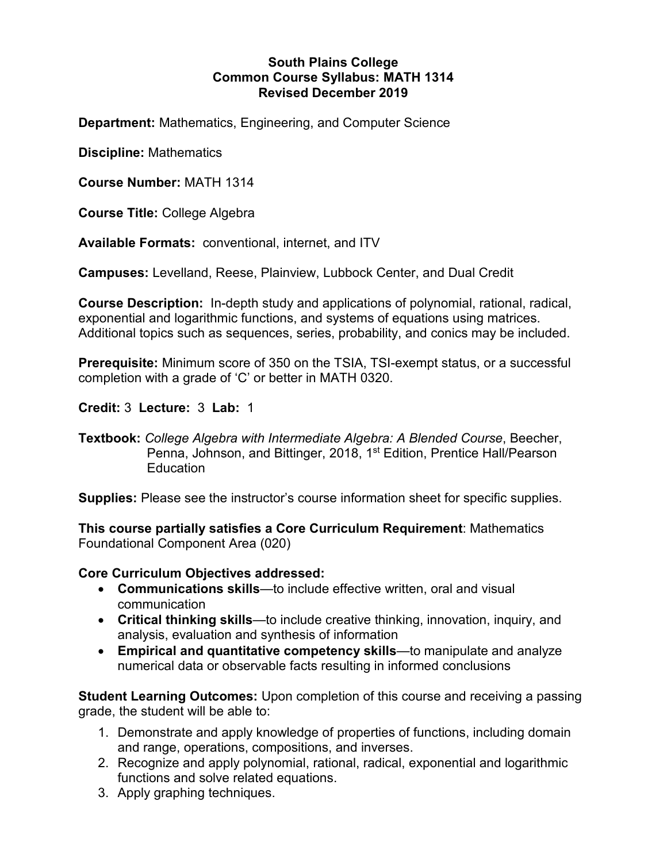### **South Plains College Common Course Syllabus: MATH 1314 Revised December 2019**

**Department:** Mathematics, Engineering, and Computer Science

**Discipline:** Mathematics

**Course Number:** MATH 1314

**Course Title:** College Algebra

**Available Formats:** conventional, internet, and ITV

**Campuses:** Levelland, Reese, Plainview, Lubbock Center, and Dual Credit

**Course Description:** In-depth study and applications of polynomial, rational, radical, exponential and logarithmic functions, and systems of equations using matrices. Additional topics such as sequences, series, probability, and conics may be included.

**Prerequisite:** Minimum score of 350 on the TSIA, TSI-exempt status, or a successful completion with a grade of 'C' or better in MATH 0320.

**Credit:** 3 **Lecture:** 3 **Lab:** 1

**Supplies:** Please see the instructor's course information sheet for specific supplies.

**This course partially satisfies a Core Curriculum Requirement**: Mathematics Foundational Component Area (020)

# **Core Curriculum Objectives addressed:**

- **Communications skills**—to include effective written, oral and visual communication
- **Critical thinking skills**—to include creative thinking, innovation, inquiry, and analysis, evaluation and synthesis of information
- **Empirical and quantitative competency skills**—to manipulate and analyze numerical data or observable facts resulting in informed conclusions

**Student Learning Outcomes:** Upon completion of this course and receiving a passing grade, the student will be able to:

- 1. Demonstrate and apply knowledge of properties of functions, including domain and range, operations, compositions, and inverses.
- 2. Recognize and apply polynomial, rational, radical, exponential and logarithmic functions and solve related equations.
- 3. Apply graphing techniques.

**Textbook:** *College Algebra with Intermediate Algebra: A Blended Course*, Beecher, Penna, Johnson, and Bittinger, 2018, 1<sup>st</sup> Edition, Prentice Hall/Pearson **Education**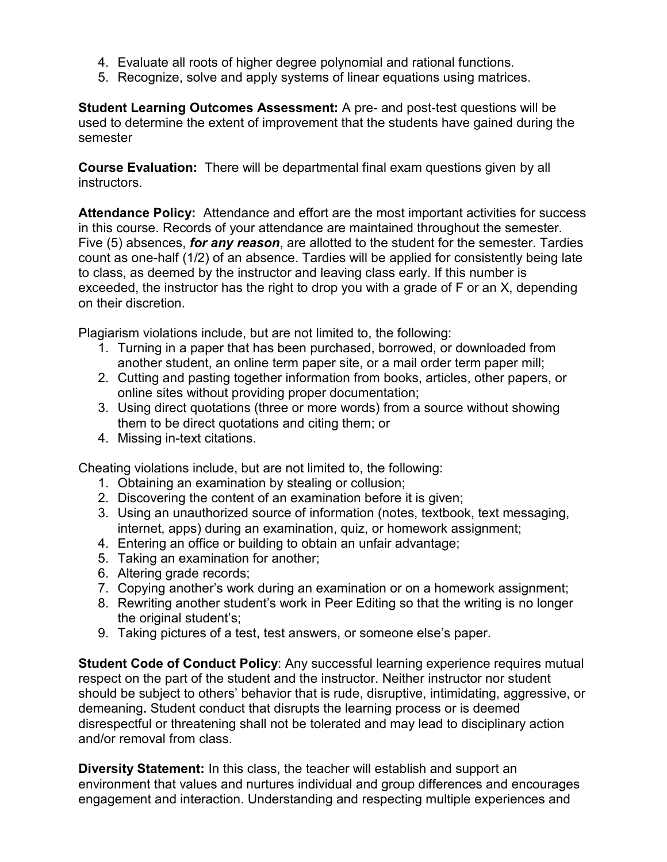- 4. Evaluate all roots of higher degree polynomial and rational functions.
- 5. Recognize, solve and apply systems of linear equations using matrices.

**Student Learning Outcomes Assessment:** A pre- and post-test questions will be used to determine the extent of improvement that the students have gained during the semester

**Course Evaluation:** There will be departmental final exam questions given by all **instructors** 

**Attendance Policy:** Attendance and effort are the most important activities for success in this course. Records of your attendance are maintained throughout the semester. Five (5) absences, *for any reason*, are allotted to the student for the semester. Tardies count as one-half (1/2) of an absence. Tardies will be applied for consistently being late to class, as deemed by the instructor and leaving class early. If this number is exceeded, the instructor has the right to drop you with a grade of F or an X, depending on their discretion.

Plagiarism violations include, but are not limited to, the following:

- 1. Turning in a paper that has been purchased, borrowed, or downloaded from another student, an online term paper site, or a mail order term paper mill;
- 2. Cutting and pasting together information from books, articles, other papers, or online sites without providing proper documentation;
- 3. Using direct quotations (three or more words) from a source without showing them to be direct quotations and citing them; or
- 4. Missing in-text citations.

Cheating violations include, but are not limited to, the following:

- 1. Obtaining an examination by stealing or collusion;
- 2. Discovering the content of an examination before it is given;
- 3. Using an unauthorized source of information (notes, textbook, text messaging, internet, apps) during an examination, quiz, or homework assignment;
- 4. Entering an office or building to obtain an unfair advantage;
- 5. Taking an examination for another;
- 6. Altering grade records;
- 7. Copying another's work during an examination or on a homework assignment;
- 8. Rewriting another student's work in Peer Editing so that the writing is no longer the original student's;
- 9. Taking pictures of a test, test answers, or someone else's paper.

**Student Code of Conduct Policy:** Any successful learning experience requires mutual respect on the part of the student and the instructor. Neither instructor nor student should be subject to others' behavior that is rude, disruptive, intimidating, aggressive, or demeaning**.** Student conduct that disrupts the learning process or is deemed disrespectful or threatening shall not be tolerated and may lead to disciplinary action and/or removal from class.

**Diversity Statement:** In this class, the teacher will establish and support an environment that values and nurtures individual and group differences and encourages engagement and interaction. Understanding and respecting multiple experiences and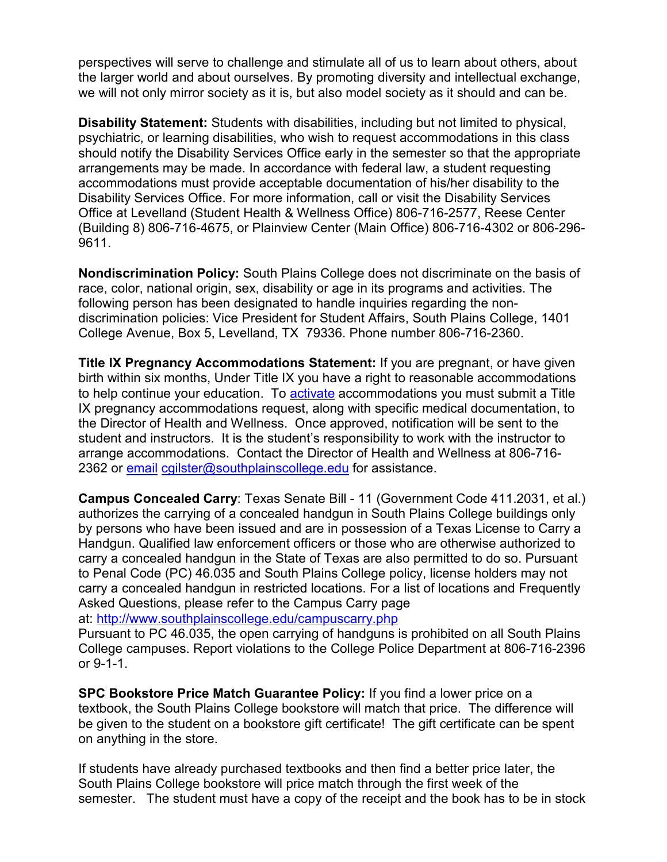perspectives will serve to challenge and stimulate all of us to learn about others, about the larger world and about ourselves. By promoting diversity and intellectual exchange, we will not only mirror society as it is, but also model society as it should and can be.

**Disability Statement:** Students with disabilities, including but not limited to physical, psychiatric, or learning disabilities, who wish to request accommodations in this class should notify the Disability Services Office early in the semester so that the appropriate arrangements may be made. In accordance with federal law, a student requesting accommodations must provide acceptable documentation of his/her disability to the Disability Services Office. For more information, call or visit the Disability Services Office at Levelland (Student Health & Wellness Office) 806-716-2577, Reese Center (Building 8) 806-716-4675, or Plainview Center (Main Office) 806-716-4302 or 806-296- 9611.

**Nondiscrimination Policy:** South Plains College does not discriminate on the basis of race, color, national origin, sex, disability or age in its programs and activities. The following person has been designated to handle inquiries regarding the nondiscrimination policies: Vice President for Student Affairs, South Plains College, 1401 College Avenue, Box 5, Levelland, TX 79336. Phone number 806-716-2360.

**Title IX Pregnancy Accommodations Statement:** If you are pregnant, or have given birth within six months, Under Title IX you have a right to reasonable accommodations to help continue your education. To [activate](http://www.southplainscollege.edu/employees/manualshandbooks/facultyhandbook/sec4.php) accommodations you must submit a Title IX pregnancy accommodations request, along with specific medical documentation, to the Director of Health and Wellness. Once approved, notification will be sent to the student and instructors. It is the student's responsibility to work with the instructor to arrange accommodations. Contact the Director of Health and Wellness at 806-716 2362 or [email](http://www.southplainscollege.edu/employees/manualshandbooks/facultyhandbook/sec4.php) [cgilster@southplainscollege.edu](mailto:cgilster@southplainscollege.edu) for assistance.

**Campus Concealed Carry**: Texas Senate Bill - 11 (Government Code 411.2031, et al.) authorizes the carrying of a concealed handgun in South Plains College buildings only by persons who have been issued and are in possession of a Texas License to Carry a Handgun. Qualified law enforcement officers or those who are otherwise authorized to carry a concealed handgun in the State of Texas are also permitted to do so. Pursuant to Penal Code (PC) 46.035 and South Plains College policy, license holders may not carry a concealed handgun in restricted locations. For a list of locations and Frequently Asked Questions, please refer to the Campus Carry page

at: <http://www.southplainscollege.edu/campuscarry.php>

Pursuant to PC 46.035, the open carrying of handguns is prohibited on all South Plains College campuses. Report violations to the College Police Department at 806-716-2396 or 9-1-1.

**SPC Bookstore Price Match Guarantee Policy:** If you find a lower price on a textbook, the South Plains College bookstore will match that price. The difference will be given to the student on a bookstore gift certificate! The gift certificate can be spent on anything in the store.

If students have already purchased textbooks and then find a better price later, the South Plains College bookstore will price match through the first week of the semester. The student must have a copy of the receipt and the book has to be in stock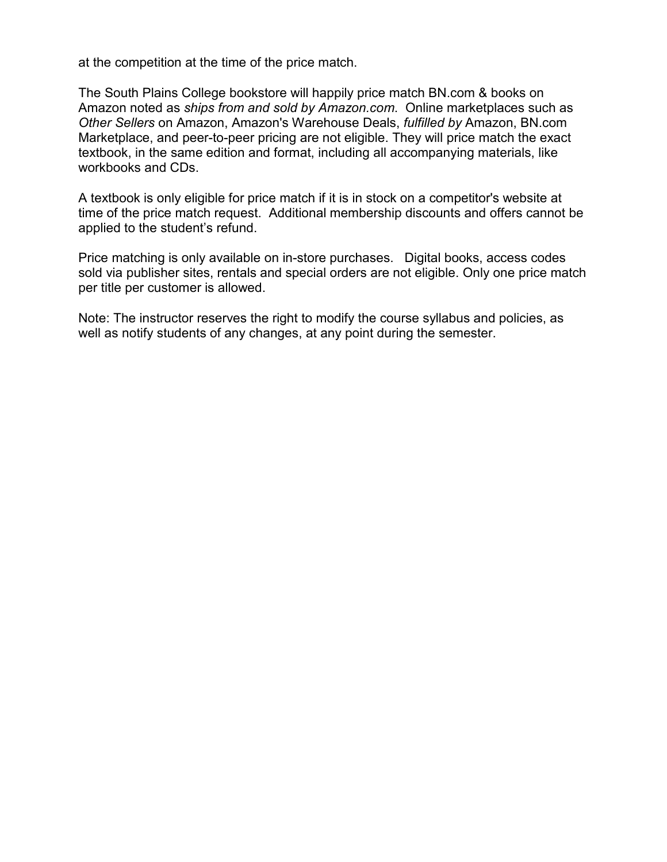at the competition at the time of the price match.

The South Plains College bookstore will happily price match BN.com & books on Amazon noted as *ships from and sold by Amazon.com*. Online marketplaces such as *Other Sellers* on Amazon, Amazon's Warehouse Deals, *fulfilled by* Amazon, BN.com Marketplace, and peer-to-peer pricing are not eligible. They will price match the exact textbook, in the same edition and format, including all accompanying materials, like workbooks and CDs.

A textbook is only eligible for price match if it is in stock on a competitor's website at time of the price match request. Additional membership discounts and offers cannot be applied to the student's refund.

Price matching is only available on in-store purchases. Digital books, access codes sold via publisher sites, rentals and special orders are not eligible. Only one price match per title per customer is allowed.

Note: The instructor reserves the right to modify the course syllabus and policies, as well as notify students of any changes, at any point during the semester.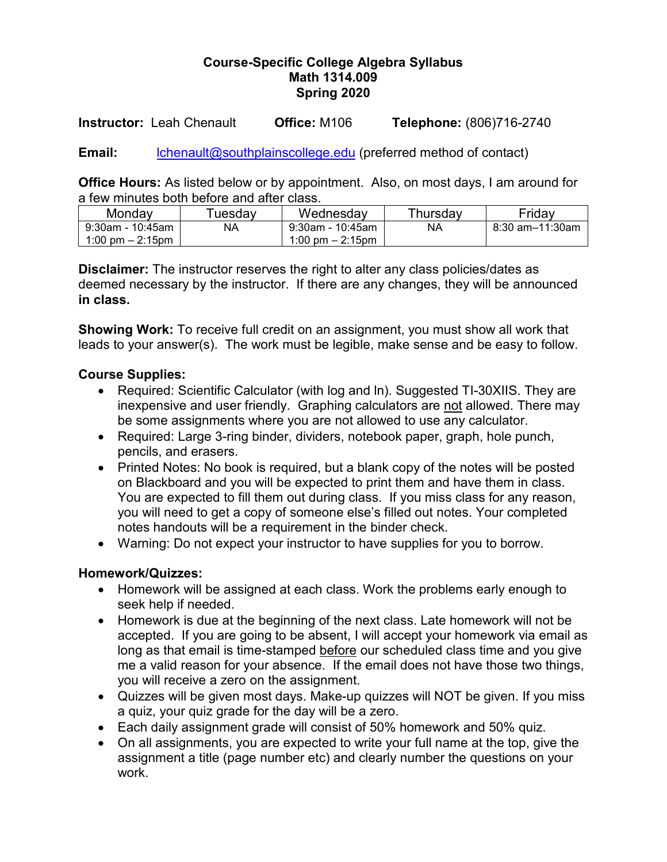## **Course-Specific College Algebra Syllabus Math 1314.009 Spring 2020**

**Instructor:** Leah Chenault **Office:** M106 **Telephone:** (806)716-2740

**Email:** [lchenault@southplainscollege.edu](mailto:lchenault@southplainscollege.edu) (preferred method of contact)

**Office Hours:** As listed below or by appointment. Also, on most days, I am around for a few minutes both before and after class.

| Mondav                             | <sup>∽</sup> uesdav | Wednesdav          | Thursday  | Fridav          |  |
|------------------------------------|---------------------|--------------------|-----------|-----------------|--|
| 9:30am - 10:45am                   | NA                  | 9:30am - 10:45am   | <b>NA</b> | 8:30 am–11:30am |  |
| $1:00 \text{ pm} - 2:15 \text{pm}$ |                     | 1:00 pm $-$ 2:15pm |           |                 |  |

**Disclaimer:** The instructor reserves the right to alter any class policies/dates as deemed necessary by the instructor. If there are any changes, they will be announced **in class.** 

**Showing Work:** To receive full credit on an assignment, you must show all work that leads to your answer(s). The work must be legible, make sense and be easy to follow.

## **Course Supplies:**

- Required: Scientific Calculator (with log and In). Suggested TI-30XIIS. They are inexpensive and user friendly. Graphing calculators are not allowed. There may be some assignments where you are not allowed to use any calculator.
- Required: Large 3-ring binder, dividers, notebook paper, graph, hole punch, pencils, and erasers.
- Printed Notes: No book is required, but a blank copy of the notes will be posted on Blackboard and you will be expected to print them and have them in class. You are expected to fill them out during class. If you miss class for any reason, you will need to get a copy of someone else's filled out notes. Your completed notes handouts will be a requirement in the binder check.
- Warning: Do not expect your instructor to have supplies for you to borrow.

#### **Homework/Quizzes:**

- Homework will be assigned at each class. Work the problems early enough to seek help if needed.
- Homework is due at the beginning of the next class. Late homework will not be accepted. If you are going to be absent, I will accept your homework via email as long as that email is time-stamped before our scheduled class time and you give me a valid reason for your absence. If the email does not have those two things, you will receive a zero on the assignment.
- Quizzes will be given most days. Make-up quizzes will NOT be given. If you miss a quiz, your quiz grade for the day will be a zero.
- Each daily assignment grade will consist of 50% homework and 50% quiz.
- On all assignments, you are expected to write your full name at the top, give the assignment a title (page number etc) and clearly number the questions on your work.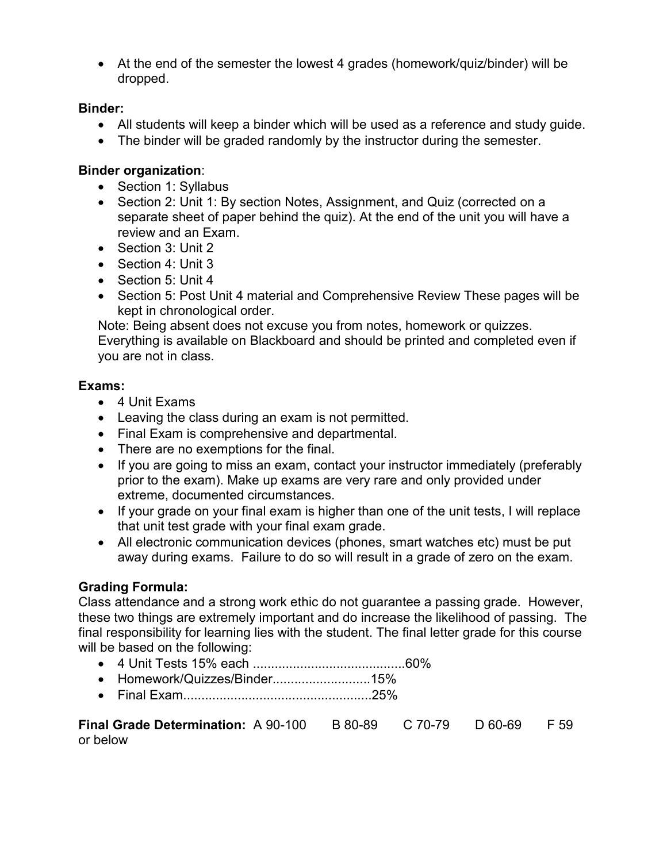• At the end of the semester the lowest 4 grades (homework/quiz/binder) will be dropped.

#### **Binder:**

- All students will keep a binder which will be used as a reference and study guide.
- The binder will be graded randomly by the instructor during the semester.

## **Binder organization**:

- Section 1: Syllabus
- Section 2: Unit 1: By section Notes, Assignment, and Quiz (corrected on a separate sheet of paper behind the quiz). At the end of the unit you will have a review and an Exam.
- Section 3: Unit 2
- Section 4: Unit 3
- Section 5: Unit 4
- Section 5: Post Unit 4 material and Comprehensive Review These pages will be kept in chronological order.

Note: Being absent does not excuse you from notes, homework or quizzes. Everything is available on Blackboard and should be printed and completed even if you are not in class.

#### **Exams:**

- 4 Unit Exams
- Leaving the class during an exam is not permitted.
- Final Exam is comprehensive and departmental.
- There are no exemptions for the final.
- If you are going to miss an exam, contact your instructor immediately (preferably prior to the exam). Make up exams are very rare and only provided under extreme, documented circumstances.
- If your grade on your final exam is higher than one of the unit tests, I will replace that unit test grade with your final exam grade.
- All electronic communication devices (phones, smart watches etc) must be put away during exams. Failure to do so will result in a grade of zero on the exam.

# **Grading Formula:**

Class attendance and a strong work ethic do not guarantee a passing grade. However, these two things are extremely important and do increase the likelihood of passing. The final responsibility for learning lies with the student. The final letter grade for this course will be based on the following:

- 4 Unit Tests 15% each ..........................................60%
- Homework/Quizzes/Binder...........................15%
- Final Exam....................................................25%

| <b>Final Grade Determination:</b> A 90-100 B 80-89 C 70-79 D 60-69 F 59 |  |  |
|-------------------------------------------------------------------------|--|--|
| or below                                                                |  |  |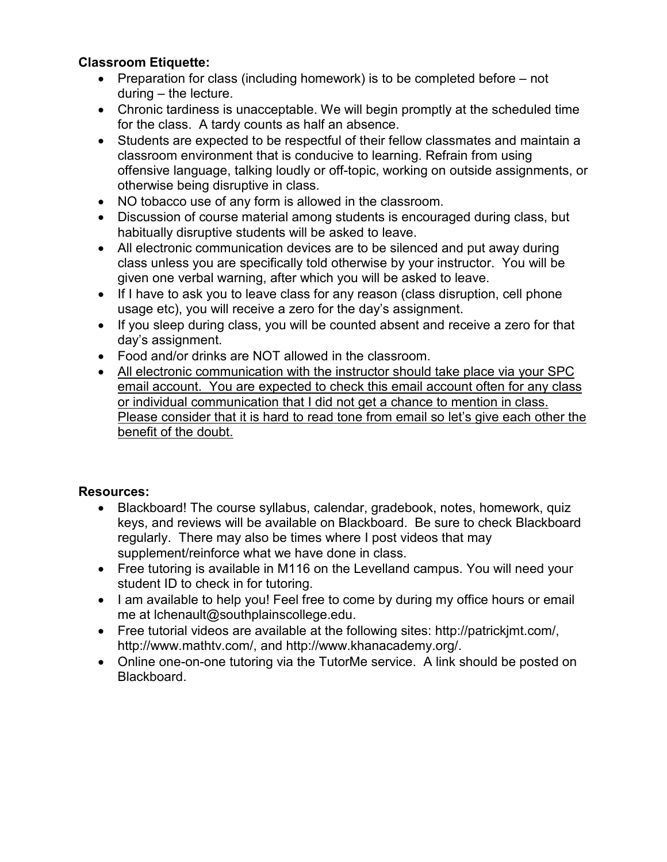# **Classroom Etiquette:**

- Preparation for class (including homework) is to be completed before not during – the lecture.
- Chronic tardiness is unacceptable. We will begin promptly at the scheduled time for the class. A tardy counts as half an absence.
- Students are expected to be respectful of their fellow classmates and maintain a classroom environment that is conducive to learning. Refrain from using offensive language, talking loudly or off-topic, working on outside assignments, or otherwise being disruptive in class.
- NO tobacco use of any form is allowed in the classroom.
- Discussion of course material among students is encouraged during class, but habitually disruptive students will be asked to leave.
- All electronic communication devices are to be silenced and put away during class unless you are specifically told otherwise by your instructor. You will be given one verbal warning, after which you will be asked to leave.
- If I have to ask you to leave class for any reason (class disruption, cell phone usage etc), you will receive a zero for the day's assignment.
- If you sleep during class, you will be counted absent and receive a zero for that day's assignment.
- Food and/or drinks are NOT allowed in the classroom.
- All electronic communication with the instructor should take place via your SPC email account. You are expected to check this email account often for any class or individual communication that I did not get a chance to mention in class. Please consider that it is hard to read tone from email so let's give each other the benefit of the doubt.

# **Resources:**

- Blackboard! The course syllabus, calendar, gradebook, notes, homework, quiz keys, and reviews will be available on Blackboard. Be sure to check Blackboard regularly. There may also be times where I post videos that may supplement/reinforce what we have done in class.
- Free tutoring is available in M116 on the Levelland campus. You will need your student ID to check in for tutoring.
- I am available to help you! Feel free to come by during my office hours or email me at lchenault@southplainscollege.edu.
- Free tutorial videos are available at the following sites: http://patrickjmt.com/, http://www.mathtv.com/, and http://www.khanacademy.org/.
- Online one-on-one tutoring via the TutorMe service. A link should be posted on Blackboard.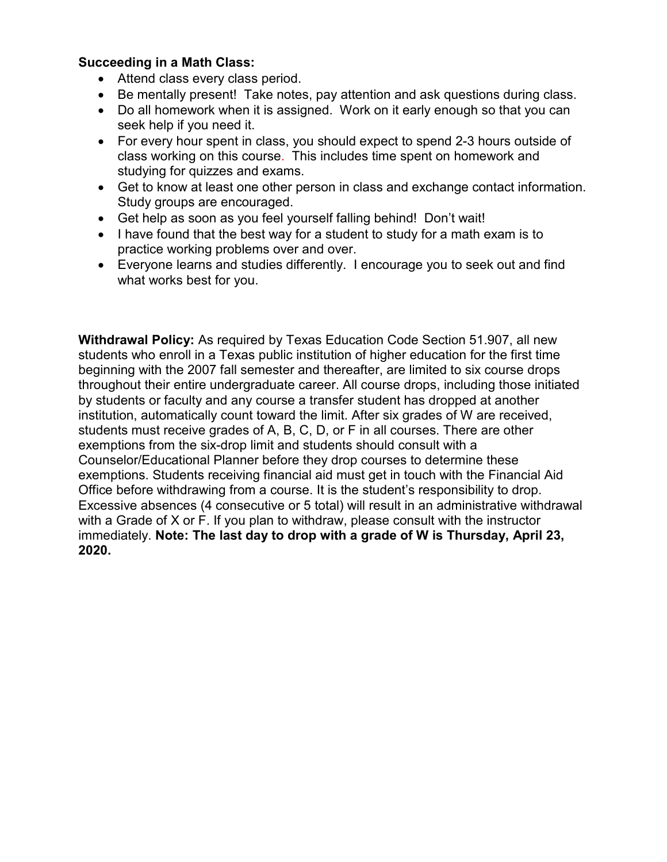## **Succeeding in a Math Class:**

- Attend class every class period.
- Be mentally present! Take notes, pay attention and ask questions during class.
- Do all homework when it is assigned. Work on it early enough so that you can seek help if you need it.
- For every hour spent in class, you should expect to spend 2-3 hours outside of class working on this course. This includes time spent on homework and studying for quizzes and exams.
- Get to know at least one other person in class and exchange contact information. Study groups are encouraged.
- Get help as soon as you feel yourself falling behind! Don't wait!
- I have found that the best way for a student to study for a math exam is to practice working problems over and over.
- Everyone learns and studies differently. I encourage you to seek out and find what works best for you.

**Withdrawal Policy:** As required by Texas Education Code Section 51.907, all new students who enroll in a Texas public institution of higher education for the first time beginning with the 2007 fall semester and thereafter, are limited to six course drops throughout their entire undergraduate career. All course drops, including those initiated by students or faculty and any course a transfer student has dropped at another institution, automatically count toward the limit. After six grades of W are received, students must receive grades of A, B, C, D, or F in all courses. There are other exemptions from the six-drop limit and students should consult with a Counselor/Educational Planner before they drop courses to determine these exemptions. Students receiving financial aid must get in touch with the Financial Aid Office before withdrawing from a course. It is the student's responsibility to drop. Excessive absences (4 consecutive or 5 total) will result in an administrative withdrawal with a Grade of X or F. If you plan to withdraw, please consult with the instructor immediately. **Note: The last day to drop with a grade of W is Thursday, April 23, 2020.**